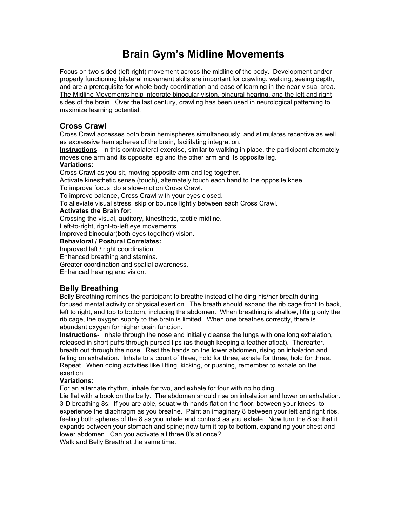# **Brain Gym's Midline Movements**

Focus on two-sided (left-right) movement across the midline of the body. Development and/or properly functioning bilateral movement skills are important for crawling, walking, seeing depth, and are a prerequisite for whole-body coordination and ease of learning in the near-visual area. The Midline Movements help integrate binocular vision, binaural hearing, and the left and right sides of the brain. Over the last century, crawling has been used in neurological patterning to maximize learning potential.

# **Cross Crawl**

Cross Crawl accesses both brain hemispheres simultaneously, and stimulates receptive as well as expressive hemispheres of the brain, facilitating integration.

**Instructions**- In this contralateral exercise, similar to walking in place, the participant alternately moves one arm and its opposite leg and the other arm and its opposite leg.

## **Variations:**

Cross Crawl as you sit, moving opposite arm and leg together.

Activate kinesthetic sense (touch), alternately touch each hand to the opposite knee.

To improve focus, do a slow-motion Cross Crawl.

To improve balance, Cross Crawl with your eyes closed.

To alleviate visual stress, skip or bounce lightly between each Cross Crawl.

## **Activates the Brain for:**

Crossing the visual, auditory, kinesthetic, tactile midline.

Left-to-right, right-to-left eye movements.

Improved binocular(both eyes together) vision.

## **Behavioral / Postural Correlates:**

Improved left / right coordination.

Enhanced breathing and stamina.

Greater coordination and spatial awareness.

Enhanced hearing and vision.

# **Belly Breathing**

Belly Breathing reminds the participant to breathe instead of holding his/her breath during focused mental activity or physical exertion. The breath should expand the rib cage front to back, left to right, and top to bottom, including the abdomen. When breathing is shallow, lifting only the rib cage, the oxygen supply to the brain is limited. When one breathes correctly, there is abundant oxygen for higher brain function.

**Instructions**- Inhale through the nose and initially cleanse the lungs with one long exhalation, released in short puffs through pursed lips (as though keeping a feather afloat). Thereafter, breath out through the nose. Rest the hands on the lower abdomen, rising on inhalation and falling on exhalation. Inhale to a count of three, hold for three, exhale for three, hold for three. Repeat. When doing activities like lifting, kicking, or pushing, remember to exhale on the exertion.

## **Variations:**

For an alternate rhythm, inhale for two, and exhale for four with no holding.

Lie flat with a book on the belly. The abdomen should rise on inhalation and lower on exhalation. 3-D breathing 8s: If you are able, squat with hands flat on the floor, between your knees, to experience the diaphragm as you breathe. Paint an imaginary 8 between your left and right ribs, feeling both spheres of the 8 as you inhale and contract as you exhale. Now turn the 8 so that it expands between your stomach and spine; now turn it top to bottom, expanding your chest and lower abdomen. Can you activate all three 8's at once?

Walk and Belly Breath at the same time.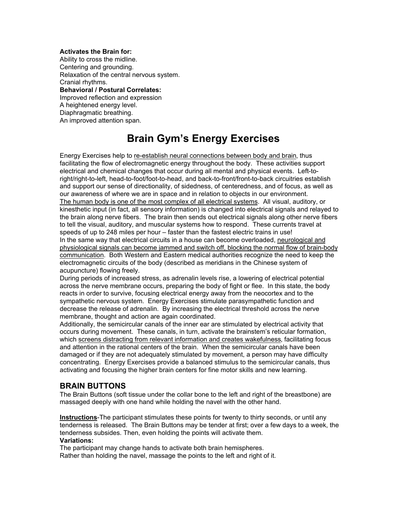**Activates the Brain for:** Ability to cross the midline. Centering and grounding. Relaxation of the central nervous system. Cranial rhythms. **Behavioral / Postural Correlates:** Improved reflection and expression A heightened energy level. Diaphragmatic breathing.

An improved attention span.

# **Brain Gym's Energy Exercises**

Energy Exercises help to re-establish neural connections between body and brain, thus facilitating the flow of electromagnetic energy throughout the body. These activities support electrical and chemical changes that occur during all mental and physical events. Left-toright/right-to-left, head-to-foot/foot-to-head, and back-to-front/front-to-back circuitries establish and support our sense of directionality, of sidedness, of centeredness, and of focus, as well as our awareness of where we are in space and in relation to objects in our environment. The human body is one of the most complex of all electrical systems. All visual, auditory, or kinesthetic input (in fact, all sensory information) is changed into electrical signals and relayed to the brain along nerve fibers. The brain then sends out electrical signals along other nerve fibers to tell the visual, auditory, and muscular systems how to respond. These currents travel at speeds of up to 248 miles per hour – faster than the fastest electric trains in use! In the same way that electrical circuits in a house can become overloaded, neurological and physiological signals can become jammed and switch off, blocking the normal flow of brain-body communication. Both Western and Eastern medical authorities recognize the need to keep the electromagnetic circuits of the body (described as meridians in the Chinese system of acupuncture) flowing freely.

During periods of increased stress, as adrenalin levels rise, a lowering of electrical potential across the nerve membrane occurs, preparing the body of fight or flee. In this state, the body reacts in order to survive, focusing electrical energy away from the neocortex and to the sympathetic nervous system. Energy Exercises stimulate parasympathetic function and decrease the release of adrenalin. By increasing the electrical threshold across the nerve membrane, thought and action are again coordinated.

Additionally, the semicircular canals of the inner ear are stimulated by electrical activity that occurs during movement. These canals, in turn, activate the brainstem's reticular formation, which screens distracting from relevant information and creates wakefulness, facilitating focus and attention in the rational centers of the brain. When the semicircular canals have been damaged or if they are not adequately stimulated by movement, a person may have difficulty concentrating. Energy Exercises provide a balanced stimulus to the semicircular canals, thus activating and focusing the higher brain centers for fine motor skills and new learning.

## **BRAIN BUTTONS**

The Brain Buttons (soft tissue under the collar bone to the left and right of the breastbone) are massaged deeply with one hand while holding the navel with the other hand.

**Instructions**-The participant stimulates these points for twenty to thirty seconds, or until any tenderness is released. The Brain Buttons may be tender at first; over a few days to a week, the tenderness subsides. Then, even holding the points will activate them. **Variations:**

The participant may change hands to activate both brain hemispheres.

Rather than holding the navel, massage the points to the left and right of it.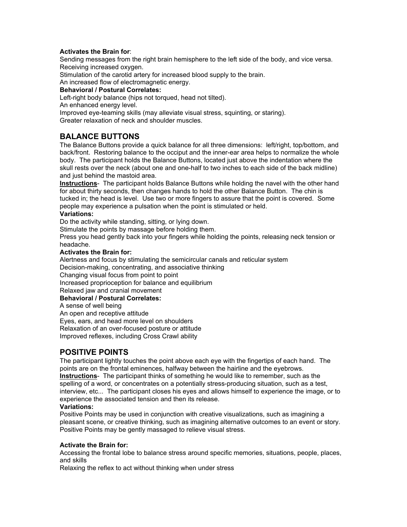## **Activates the Brain for**:

Sending messages from the right brain hemisphere to the left side of the body, and vice versa. Receiving increased oxygen.

Stimulation of the carotid artery for increased blood supply to the brain.

An increased flow of electromagnetic energy.

## **Behavioral / Postural Correlates:**

Left-right body balance (hips not torqued, head not tilted).

An enhanced energy level.

Improved eye-teaming skills (may alleviate visual stress, squinting, or staring).

Greater relaxation of neck and shoulder muscles.

# **BALANCE BUTTONS**

The Balance Buttons provide a quick balance for all three dimensions: left/right, top/bottom, and back/front. Restoring balance to the occiput and the inner-ear area helps to normalize the whole body. The participant holds the Balance Buttons, located just above the indentation where the skull rests over the neck (about one and one-half to two inches to each side of the back midline) and just behind the mastoid area.

**Instructions**- The participant holds Balance Buttons while holding the navel with the other hand for about thirty seconds, then changes hands to hold the other Balance Button. The chin is tucked in; the head is level. Use two or more fingers to assure that the point is covered. Some people may experience a pulsation when the point is stimulated or held.

## **Variations:**

Do the activity while standing, sitting, or lying down.

Stimulate the points by massage before holding them.

Press you head gently back into your fingers while holding the points, releasing neck tension or headache.

#### **Activates the Brain for:**

Alertness and focus by stimulating the semicircular canals and reticular system Decision-making, concentrating, and associative thinking Changing visual focus from point to point Increased proprioception for balance and equilibrium Relaxed jaw and cranial movement

## **Behavioral / Postural Correlates:**

A sense of well being

An open and receptive attitude Eyes, ears, and head more level on shoulders Relaxation of an over-focused posture or attitude Improved reflexes, including Cross Crawl ability

# **POSITIVE POINTS**

The participant lightly touches the point above each eye with the fingertips of each hand. The points are on the frontal eminences, halfway between the hairline and the eyebrows. **Instructions**- The participant thinks of something he would like to remember, such as the spelling of a word, or concentrates on a potentially stress-producing situation, such as a test, interview, etc... The participant closes his eyes and allows himself to experience the image, or to experience the associated tension and then its release.

## **Variations:**

Positive Points may be used in conjunction with creative visualizations, such as imagining a pleasant scene, or creative thinking, such as imagining alternative outcomes to an event or story. Positive Points may be gently massaged to relieve visual stress.

## **Activate the Brain for:**

Accessing the frontal lobe to balance stress around specific memories, situations, people, places, and skills

Relaxing the reflex to act without thinking when under stress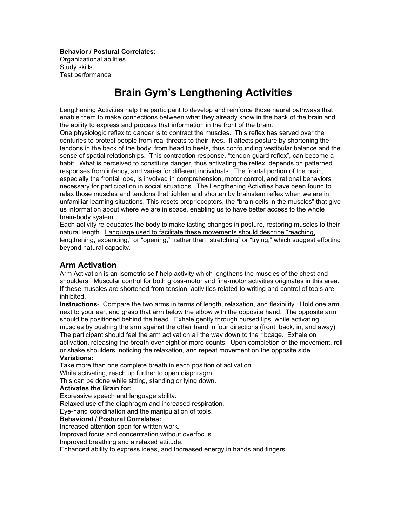**Behavior / Postural Correlates:** Organizational abilities Study skills Test performance

# **Brain Gym's Lengthening Activities**

Lengthening Activities help the participant to develop and reinforce those neural pathways that enable them to make connections between what they already know in the back of the brain and the ability to express and process that information in the front of the brain.

One physiologic reflex to danger is to contract the muscles. This reflex has served over the centuries to protect people from real threats to their lives. It affects posture by shortening the tendons in the back of the body, from head to heels, thus confounding vestibular balance and the sense of spatial relationships. This contraction response, "tendon-guard reflex", can become a habit. What is perceived to constitute danger, thus activating the reflex, depends on patterned responses from infancy, and varies for different individuals. The frontal portion of the brain, especially the frontal lobe, is involved in comprehension, motor control, and rational behaviors necessary for participation in social situations. The Lengthening Activities have been found to relax those muscles and tendons that tighten and shorten by brainstem reflex when we are in unfamiliar learning situations. This resets proprioceptors, the "brain cells in the muscles" that give us information about where we are in space, enabling us to have better access to the whole brain-body system.

Each activity re-educates the body to make lasting changes in posture, restoring muscles to their natural length. Language used to facilitate these movements should describe "reaching, lengthening, expanding," or "opening," rather than "stretching" or "trying," which suggest efforting beyond natural capacity.

## **Arm Activation**

Arm Activation is an isometric self-help activity which lengthens the muscles of the chest and shoulders. Muscular control for both gross-motor and fine-motor activities originates in this area. If these muscles are shortened from tension, activities related to writing and control of tools are inhibited.

**Instructions**- Compare the two arms in terms of length, relaxation, and flexibility. Hold one arm next to your ear, and grasp that arm below the elbow with the opposite hand. The opposite arm should be positioned behind the head. Exhale gently through pursed lips, while activating muscles by pushing the arm against the other hand in four directions (front, back, in, and away). The participant should feel the arm activation all the way down to the ribcage. Exhale on activation, releasing the breath over eight or more counts. Upon completion of the movement, roll or shake shoulders, noticing the relaxation, and repeat movement on the opposite side.

## **Variations:**

Take more than one complete breath in each position of activation.

While activating, reach up further to open diaphragm.

This can be done while sitting, standing or lying down.

## **Activates the Brain for:**

Expressive speech and language ability.

Relaxed use of the diaphragm and increased respiration.

Eye-hand coordination and the manipulation of tools.

## **Behavioral / Postural Correlates:**

Increased attention span for written work.

Improved focus and concentration without overfocus.

Improved breathing and a relaxed attitude.

Enhanced ability to express ideas, and Increased energy in hands and fingers.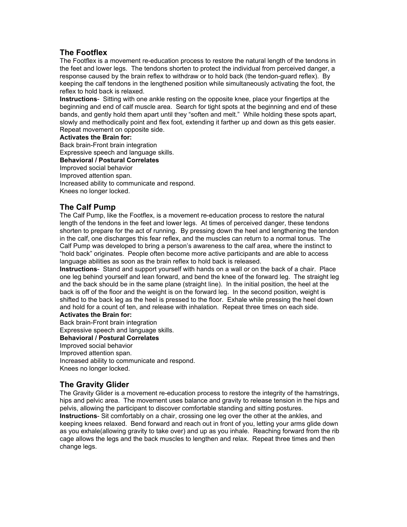# **The Footflex**

The Footflex is a movement re-education process to restore the natural length of the tendons in the feet and lower legs. The tendons shorten to protect the individual from perceived danger, a response caused by the brain reflex to withdraw or to hold back (the tendon-guard reflex). By keeping the calf tendons in the lengthened position while simultaneously activating the foot, the reflex to hold back is relaxed.

**Instructions**- Sitting with one ankle resting on the opposite knee, place your fingertips at the beginning and end of calf muscle area. Search for tight spots at the beginning and end of these bands, and gently hold them apart until they "soften and melt." While holding these spots apart, slowly and methodically point and flex foot, extending it farther up and down as this gets easier. Repeat movement on opposite side.

## **Activates the Brain for:**

Back brain-Front brain integration

Expressive speech and language skills.

**Behavioral / Postural Correlates**

Improved social behavior

Improved attention span.

Increased ability to communicate and respond.

Knees no longer locked.

# **The Calf Pump**

The Calf Pump, like the Footflex, is a movement re-education process to restore the natural length of the tendons in the feet and lower legs. At times of perceived danger, these tendons shorten to prepare for the act of running. By pressing down the heel and lengthening the tendon in the calf, one discharges this fear reflex, and the muscles can return to a normal tonus. The Calf Pump was developed to bring a person's awareness to the calf area, where the instinct to "hold back" originates. People often become more active participants and are able to access language abilities as soon as the brain reflex to hold back is released.

**Instructions**- Stand and support yourself with hands on a wall or on the back of a chair. Place one leg behind yourself and lean forward, and bend the knee of the forward leg. The straight leg and the back should be in the same plane (straight line). In the initial position, the heel at the back is off of the floor and the weight is on the forward leg. In the second position, weight is shifted to the back leg as the heel is pressed to the floor. Exhale while pressing the heel down and hold for a count of ten, and release with inhalation. Repeat three times on each side.

## **Activates the Brain for:**

Back brain-Front brain integration Expressive speech and language skills.

**Behavioral / Postural Correlates**

Improved social behavior

Improved attention span.

Increased ability to communicate and respond.

Knees no longer locked.

# **The Gravity Glider**

The Gravity Glider is a movement re-education process to restore the integrity of the hamstrings, hips and pelvic area. The movement uses balance and gravity to release tension in the hips and pelvis, allowing the participant to discover comfortable standing and sitting postures.

**Instructions**- Sit comfortably on a chair, crossing one leg over the other at the ankles, and keeping knees relaxed. Bend forward and reach out in front of you, letting your arms glide down as you exhale(allowing gravity to take over) and up as you inhale. Reaching forward from the rib cage allows the legs and the back muscles to lengthen and relax. Repeat three times and then change legs.